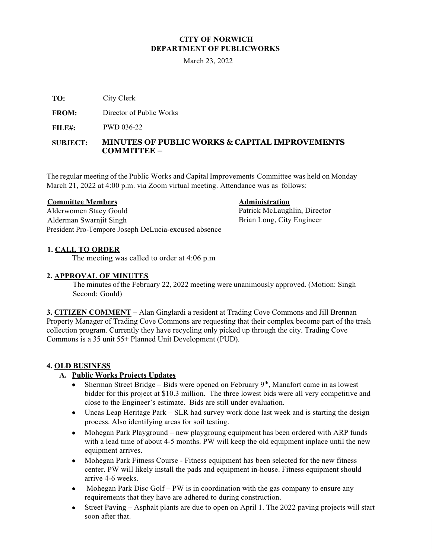# **CITY OF NORWICH DEPARTMENT OF PUBLICWORKS**

March 23, 2022

City Clerk **TO:** 

Director of Public Works **FROM:** 

PWD 036-22 **FILE#:**

#### **MINUTES OF PUBLIC WORKS & CAPITAL IMPROVEMENTS COMMITTEE – SUBJECT:**

The regular meeting of the Public Works and Capital Improvements Committee was held on Monday March 21, 2022 at 4:00 p.m. via Zoom virtual meeting. Attendance was as follows:

## **Committee Members**

Alderwomen Stacy Gould Alderman Swarnjit Singh President Pro-Tempore Joseph DeLucia-excused absence **Administration**

Patrick McLaughlin, Director Brian Long, City Engineer

# **1. CALL TO ORDER**

The meeting was called to order at 4:06 p.m

## **2. APPROVAL OF MINUTES**

The minutes ofthe February 22, 2022 meeting were unanimously approved. (Motion: Singh Second: Gould)

**3. CITIZEN COMMENT** – Alan Ginglardi a resident at Trading Cove Commons and Jill Brennan Property Manager of Trading Cove Commons are requesting that their complex become part of the trash collection program. Currently they have recycling only picked up through the city. Trading Cove Commons is a 35 unit 55+ Planned Unit Development (PUD).

## **4. OLD BUSINESS**

# **A. Public Works Projects Updates**

- Sherman Street Bridge Bids were opened on February  $9<sup>th</sup>$ , Manafort came in as lowest bidder for this project at \$10.3 million. The three lowest bids were all very competitive and close to the Engineer's estimate. Bids are still under evaluation.
- Uncas Leap Heritage Park SLR had survey work done last week and is starting the design process. Also identifying areas for soil testing.
- Mohegan Park Playground new playgroung equipment has been ordered with ARP funds with a lead time of about 4-5 months. PW will keep the old equipment inplace until the new equipment arrives.
- Mohegan Park Fitness Course Fitness equipment has been selected for the new fitness center. PW will likely install the pads and equipment in-house. Fitness equipment should arrive 4-6 weeks.
- Mohegan Park Disc Golf PW is in coordination with the gas company to ensure any requirements that they have are adhered to during construction.
- Street Paving Asphalt plants are due to open on April 1. The 2022 paving projects will start soon after that.